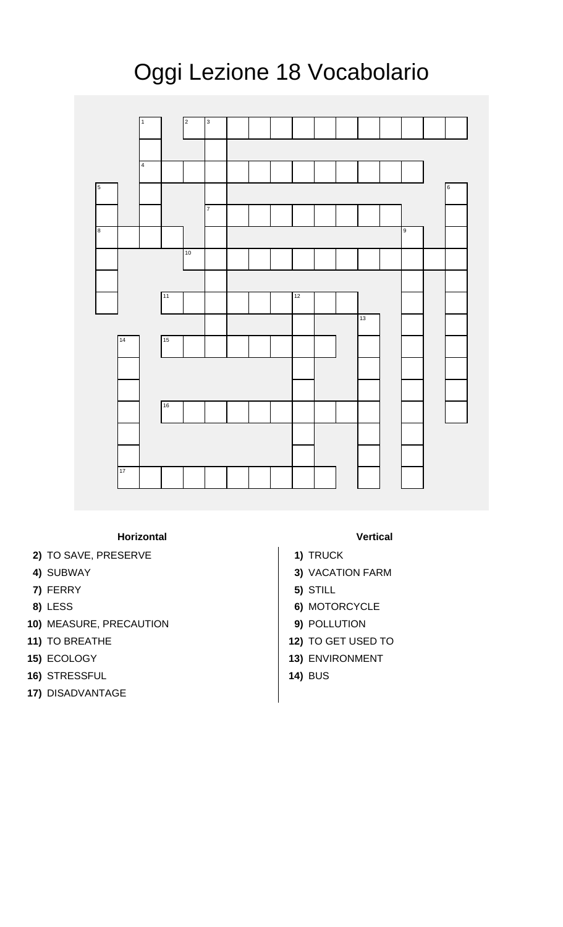## Oggi Lezione 18 Vocabolario



## **Horizontal Vertical**

- 2) TO SAVE, PRESERVE **1** 1) TRUCK
- 
- **7)** FERRY **5)** STILL
- 
- **10)** MEASURE, PRECAUTION **9)** POLLUTION
- 
- 
- **16)** STRESSFUL **14)** BUS
- **17)** DISADVANTAGE

- 
- **4)** SUBWAY **3)** VACATION FARM
	-
- **8)** LESS **6)** MOTORCYCLE
	-
- **11)** TO BREATHE **12)** TO GET USED TO
- **15)** ECOLOGY **13)** ENVIRONMENT
	-